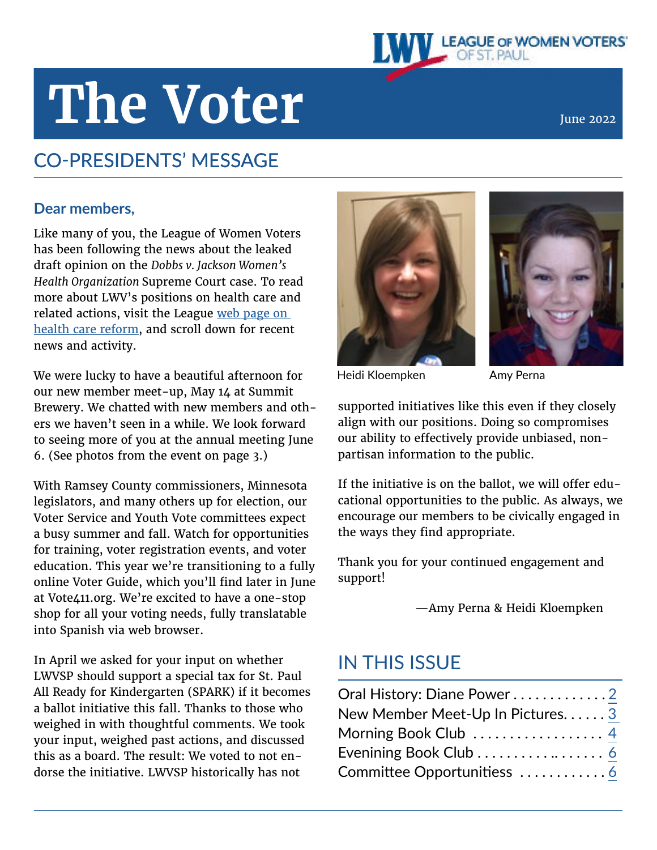# LEAGUE OF WOMEN VOTERS'

# The Voter **June 2022**

# CO-PRESIDENTS' MESSAGE

#### **Dear members,**

Like many of you, the League of Women Voters has been following the news about the leaked draft opinion on the *Dobbs v. Jackson Women's Health Organization* Supreme Court case. To read more about LWV's positions on health care and related actions, visit the League [web page on](https://www.lwv.org/other-issues/health-care-reform)  [health care reform](https://www.lwv.org/other-issues/health-care-reform), and scroll down for recent news and activity.

We were lucky to have a beautiful afternoon for our new member meet-up, May 14 at Summit Brewery. We chatted with new members and others we haven't seen in a while. We look forward to seeing more of you at the annual meeting June 6. (See photos from the event on page 3.)

With Ramsey County commissioners, Minnesota legislators, and many others up for election, our Voter Service and Youth Vote committees expect a busy summer and fall. Watch for opportunities for training, voter registration events, and voter education. This year we're transitioning to a fully online Voter Guide, which you'll find later in June at Vote411.org. We're excited to have a one-stop shop for all your voting needs, fully translatable into Spanish via web browser.

In April we asked for your input on whether LWVSP should support a special tax for St. Paul All Ready for Kindergarten (SPARK) if it becomes a ballot initiative this fall. Thanks to those who weighed in with thoughtful comments. We took your input, weighed past actions, and discussed this as a board. The result: We voted to not endorse the initiative. LWVSP historically has not





Heidi Kloempken Mamy Perna

supported initiatives like this even if they closely align with our positions. Doing so compromises our ability to effectively provide unbiased, nonpartisan information to the public.

If the initiative is on the ballot, we will offer educational opportunities to the public. As always, we encourage our members to be civically engaged in the ways they find appropriate.

Thank you for your continued engagement and support!

—Amy Perna & Heidi Kloempken

# IN THIS ISSUE

| Oral History: Diane Power2      |  |
|---------------------------------|--|
| New Member Meet-Up In Pictures3 |  |
| Morning Book Club  4            |  |
| Evenining Book Club  6          |  |
|                                 |  |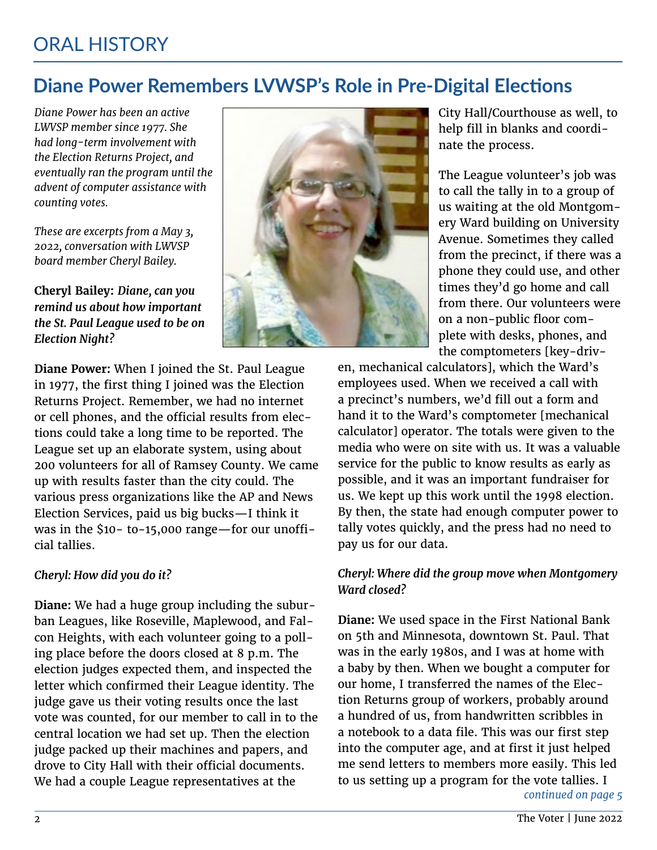# **Diane Power Remembers LVWSP's Role in Pre-Digital Elections**

*Diane Power has been an active LWVSP member since 1977. She had long-term involvement with the Election Returns Project, and eventually ran the program until the advent of computer assistance with counting votes.*

*These are excerpts from a May 3, 2022, conversation with LWVSP board member Cheryl Bailey.*

**Cheryl Bailey:** *Diane, can you remind us about how important the St. Paul League used to be on Election Night?* 



City Hall/Courthouse as well, to help fill in blanks and coordinate the process.

The League volunteer's job was to call the tally in to a group of us waiting at the old Montgomery Ward building on University Avenue. Sometimes they called from the precinct, if there was a phone they could use, and other times they'd go home and call from there. Our volunteers were on a non-public floor complete with desks, phones, and the comptometers [key-driv-

**Diane Power:** When I joined the St. Paul League in 1977, the first thing I joined was the Election Returns Project. Remember, we had no internet or cell phones, and the official results from elections could take a long time to be reported. The League set up an elaborate system, using about 200 volunteers for all of Ramsey County. We came up with results faster than the city could. The various press organizations like the AP and News Election Services, paid us big bucks—I think it was in the \$10- to-15,000 range—for our unofficial tallies.

#### *Cheryl: How did you do it?*

**Diane:** We had a huge group including the suburban Leagues, like Roseville, Maplewood, and Falcon Heights, with each volunteer going to a polling place before the doors closed at 8 p.m. The election judges expected them, and inspected the letter which confirmed their League identity. The judge gave us their voting results once the last vote was counted, for our member to call in to the central location we had set up. Then the election judge packed up their machines and papers, and drove to City Hall with their official documents. We had a couple League representatives at the

en, mechanical calculators], which the Ward's employees used. When we received a call with a precinct's numbers, we'd fill out a form and hand it to the Ward's comptometer [mechanical calculator] operator. The totals were given to the media who were on site with us. It was a valuable service for the public to know results as early as possible, and it was an important fundraiser for us. We kept up this work until the 1998 election. By then, the state had enough computer power to tally votes quickly, and the press had no need to pay us for our data.

#### *Cheryl: Where did the group move when Montgomery Ward closed?*

**Diane:** We used space in the First National Bank on 5th and Minnesota, downtown St. Paul. That was in the early 1980s, and I was at home with a baby by then. When we bought a computer for our home, I transferred the names of the Election Returns group of workers, probably around a hundred of us, from handwritten scribbles in a notebook to a data file. This was our first step into the computer age, and at first it just helped me send letters to members more easily. This led to us setting up a program for the vote tallies. I *continued on page 5*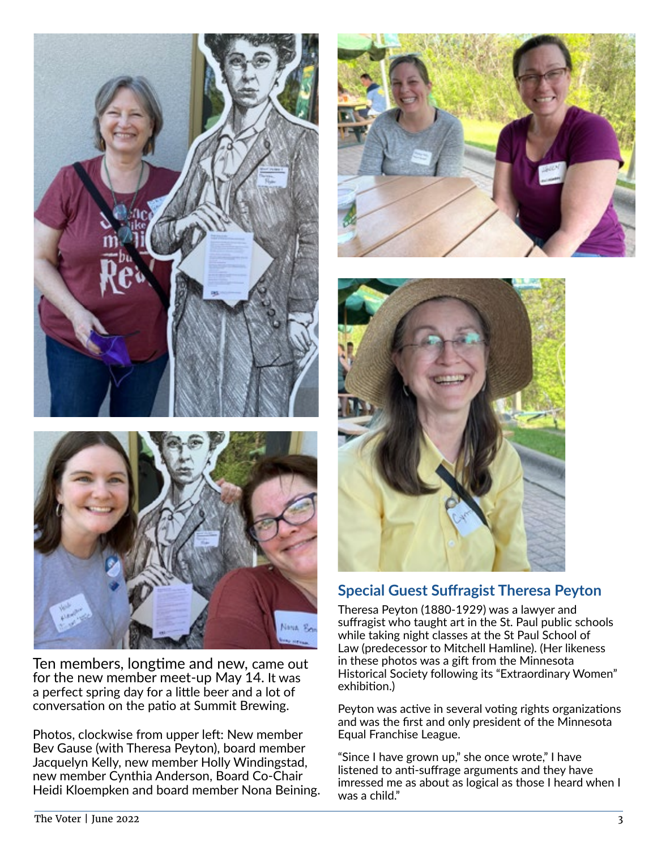

Ten members, longtime and new, came out for the new member meet-up May 14. It was a perfect spring day for a little beer and a lot of conversation on the patio at Summit Brewing.

Photos, clockwise from upper left: New member Bev Gause (with Theresa Peyton), board member Jacquelyn Kelly, new member Holly Windingstad, new member Cynthia Anderson, Board Co-Chair Heidi Kloempken and board member Nona Beining.





#### **Special Guest Suffragist Theresa Peyton**

Theresa Peyton (1880-1929) was a lawyer and suffragist who taught art in the St. Paul public schools while taking night classes at the St Paul School of Law (predecessor to Mitchell Hamline). (Her likeness in these photos was a gift from the Minnesota Historical Society following its "Extraordinary Women" exhibition.)

Peyton was active in several voting rights organizations and was the first and only president of the Minnesota Equal Franchise League.

"Since I have grown up," she once wrote," I have listened to anti-suffrage arguments and they have imressed me as about as logical as those I heard when I was a child."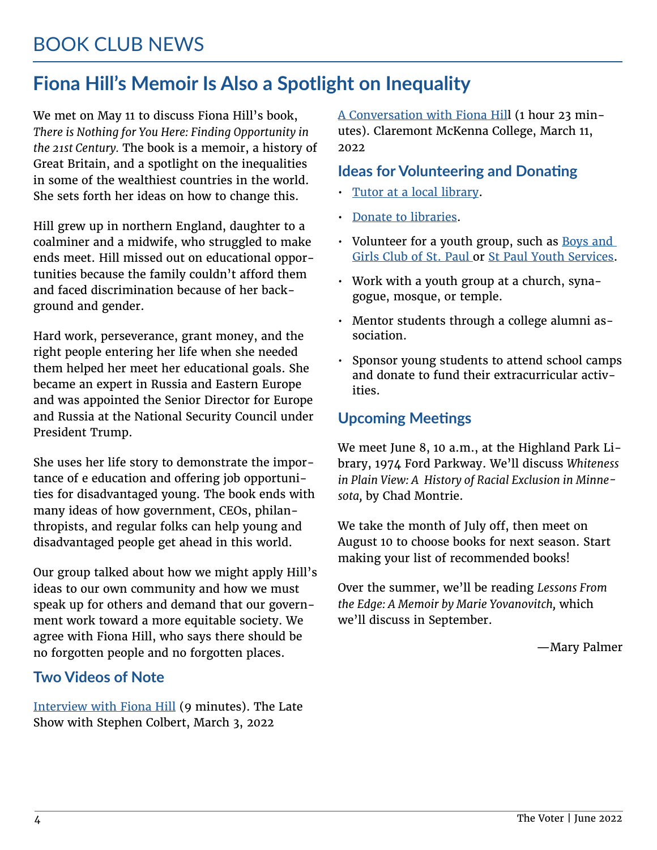# **Fiona Hill's Memoir Is Also a Spotlight on Inequality**

We met on May 11 to discuss Fiona Hill's book, *There is Nothing for You Here: Finding Opportunity in the 21st Century.* The book is a memoir, a history of Great Britain, and a spotlight on the inequalities in some of the wealthiest countries in the world. She sets forth her ideas on how to change this.

Hill grew up in northern England, daughter to a coalminer and a midwife, who struggled to make ends meet. Hill missed out on educational opportunities because the family couldn't afford them and faced discrimination because of her background and gender.

Hard work, perseverance, grant money, and the right people entering her life when she needed them helped her meet her educational goals. She became an expert in Russia and Eastern Europe and was appointed the Senior Director for Europe and Russia at the National Security Council under President Trump.

She uses her life story to demonstrate the importance of e education and offering job opportunities for disadvantaged young. The book ends with many ideas of how government, CEOs, philanthropists, and regular folks can help young and disadvantaged people get ahead in this world.

Our group talked about how we might apply Hill's ideas to our own community and how we must speak up for others and demand that our government work toward a more equitable society. We agree with Fiona Hill, who says there should be no forgotten people and no forgotten places.

#### **Two Videos of Note**

[Interview with Fiona Hill](https://www.youtube.com/watch?v=i-xuQLPEeZk 
) (9 minutes). The Late Show with Stephen Colbert, March 3, 2022

[A Conversation with Fiona Hil](https://www.youtube.com/watch?v=VsGpSY1Wcng )l (1 hour 23 minutes). Claremont McKenna College, March 11, 2022

#### **Ideas for Volunteering and Donating**

- [Tutor at a local library](http://sppl.org/volunteer/
).
- [Donate to libraries](https://thefriends.org/friends-advocacy/).
- Volunteer for a youth group, such as Boys and [Girls Club of St. Paul o](https://www.bgca.org/about-us)r [St Paul Youth Services](https://www.spys.org/).
- Work with a youth group at a church, synagogue, mosque, or temple.
- Mentor students through a college alumni association.
- Sponsor young students to attend school camps and donate to fund their extracurricular activities.

#### **Upcoming Meetings**

We meet June 8, 10 a.m., at the Highland Park Library, 1974 Ford Parkway. We'll discuss *Whiteness in Plain View: A History of Racial Exclusion in Minnesota,* by Chad Montrie.

We take the month of July off, then meet on August 10 to choose books for next season. Start making your list of recommended books!

Over the summer, we'll be reading *Lessons From the Edge: A Memoir by Marie Yovanovitch,* which we'll discuss in September.

—Mary Palmer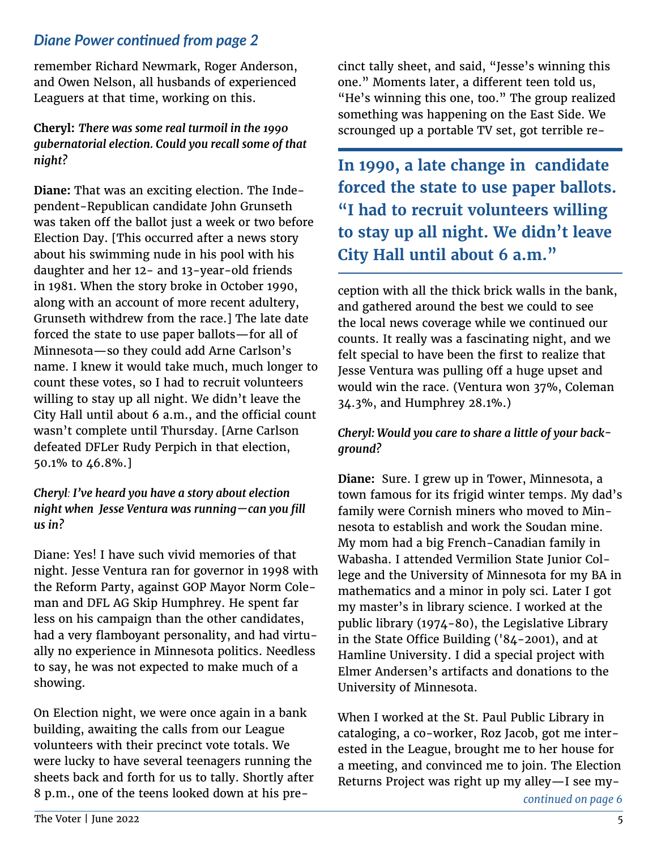#### *Diane Power continued from page 2*

remember Richard Newmark, Roger Anderson, and Owen Nelson, all husbands of experienced Leaguers at that time, working on this.

**Cheryl:** *There was some real turmoil in the 1990 gubernatorial election. Could you recall some of that night?*

**Diane:** That was an exciting election. The Independent-Republican candidate John Grunseth was taken off the ballot just a week or two before Election Day. [This occurred after a news story about his swimming nude in his pool with his daughter and her 12- and 13-year-old friends in 1981. When the story broke in October 1990, along with an account of more recent adultery, Grunseth withdrew from the race.] The late date forced the state to use paper ballots—for all of Minnesota—so they could add Arne Carlson's name. I knew it would take much, much longer to count these votes, so I had to recruit volunteers willing to stay up all night. We didn't leave the City Hall until about 6 a.m., and the official count wasn't complete until Thursday. [Arne Carlson defeated DFLer Rudy Perpich in that election, 50.1% to 46.8%.]

#### *Cheryl: I've heard you have a story about election night when Jesse Ventura was running—can you fill us in?*

Diane: Yes! I have such vivid memories of that night. Jesse Ventura ran for governor in 1998 with the Reform Party, against GOP Mayor Norm Coleman and DFL AG Skip Humphrey. He spent far less on his campaign than the other candidates, had a very flamboyant personality, and had virtually no experience in Minnesota politics. Needless to say, he was not expected to make much of a showing.

On Election night, we were once again in a bank building, awaiting the calls from our League volunteers with their precinct vote totals. We were lucky to have several teenagers running the sheets back and forth for us to tally. Shortly after 8 p.m., one of the teens looked down at his precinct tally sheet, and said, "Jesse's winning this one." Moments later, a different teen told us, "He's winning this one, too." The group realized something was happening on the East Side. We scrounged up a portable TV set, got terrible re-

**In 1990, a late change in candidate forced the state to use paper ballots. "I had to recruit volunteers willing to stay up all night. We didn't leave City Hall until about 6 a.m."**

ception with all the thick brick walls in the bank, and gathered around the best we could to see the local news coverage while we continued our counts. It really was a fascinating night, and we felt special to have been the first to realize that Jesse Ventura was pulling 0ff a huge upset and would win the race. (Ventura won 37%, Coleman 34.3%, and Humphrey 28.1%.)

#### *Cheryl: Would you care to share a little of your background?*

**Diane:** Sure. I grew up in Tower, Minnesota, a town famous for its frigid winter temps. My dad's family were Cornish miners who moved to Minnesota to establish and work the Soudan mine. My mom had a big French-Canadian family in Wabasha. I attended Vermilion State Junior College and the University of Minnesota for my BA in mathematics and a minor in poly sci. Later I got my master's in library science. I worked at the public library (1974-80), the Legislative Library in the State Office Building ('84-2001), and at Hamline University. I did a special project with Elmer Andersen's artifacts and donations to the University of Minnesota.

When I worked at the St. Paul Public Library in cataloging, a co-worker, Roz Jacob, got me interested in the League, brought me to her house for a meeting, and convinced me to join. The Election Returns Project was right up my alley—I see my-